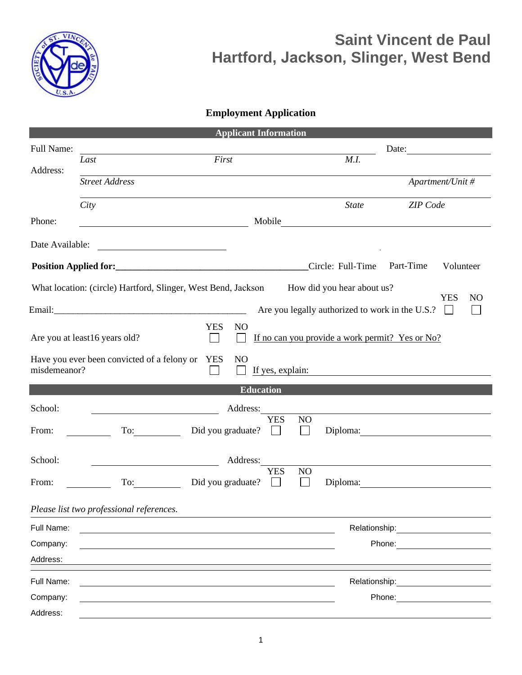

## **Saint Vincent de Paul Hartford, Jackson, Slinger, West Bend**

## **Employment Application**

|                 |                                             | <b>Applicant Information</b>                                  |                                                 |                                                                                                                       |
|-----------------|---------------------------------------------|---------------------------------------------------------------|-------------------------------------------------|-----------------------------------------------------------------------------------------------------------------------|
| Full Name:      |                                             |                                                               |                                                 | Date:                                                                                                                 |
| Address:        | Last                                        | First                                                         | M.I.                                            |                                                                                                                       |
|                 | <b>Street Address</b>                       |                                                               |                                                 | Apartment/Unit #                                                                                                      |
|                 | City                                        |                                                               | <b>State</b>                                    | <b>ZIP</b> Code                                                                                                       |
| Phone:          |                                             | <u> 1989 - Johann Barn, mars eta bainar eta idazlea (</u>     |                                                 |                                                                                                                       |
| Date Available: |                                             |                                                               |                                                 |                                                                                                                       |
|                 |                                             |                                                               | Circle: Full-Time                               | Part-Time<br>Volunteer                                                                                                |
|                 |                                             | What location: (circle) Hartford, Slinger, West Bend, Jackson | How did you hear about us?                      | <b>YES</b><br>N <sub>O</sub>                                                                                          |
|                 |                                             |                                                               | Are you legally authorized to work in the U.S.? | $\mathbf{I}$                                                                                                          |
|                 | Are you at least16 years old?               | <b>YES</b><br>N <sub>O</sub>                                  | If no can you provide a work permit? Yes or No? |                                                                                                                       |
| misdemeanor?    | Have you ever been convicted of a felony or | <b>YES</b><br>N <sub>O</sub><br>If yes, explain:              |                                                 | <u>and the state of the state of the state of the state of the state of the state of the state of the state of th</u> |
|                 |                                             | <b>Education</b>                                              |                                                 |                                                                                                                       |
| School:         |                                             | Address:                                                      |                                                 |                                                                                                                       |
| From:           |                                             | <b>YES</b><br>Did you graduate?<br>$\mathbf{L}$               | NO<br>$\mathbf{I}$                              |                                                                                                                       |
| School:         |                                             | Address:                                                      |                                                 |                                                                                                                       |
| From:           | To: $\qquad \qquad \qquad$                  | <b>YES</b><br>Did you graduate?<br>$\perp$                    | NO<br>$\mathbf{I}$                              | Diploma:                                                                                                              |
|                 | Please list two professional references.    |                                                               |                                                 |                                                                                                                       |
| Full Name:      |                                             |                                                               | Relationship:                                   |                                                                                                                       |
| Company:        |                                             |                                                               |                                                 | Phone:                                                                                                                |
| Address:        |                                             |                                                               |                                                 |                                                                                                                       |
| Full Name:      |                                             |                                                               |                                                 | Relationship: <b>Note 18</b>                                                                                          |
| Company:        |                                             |                                                               |                                                 | Phone:                                                                                                                |
| Address:        |                                             |                                                               |                                                 |                                                                                                                       |